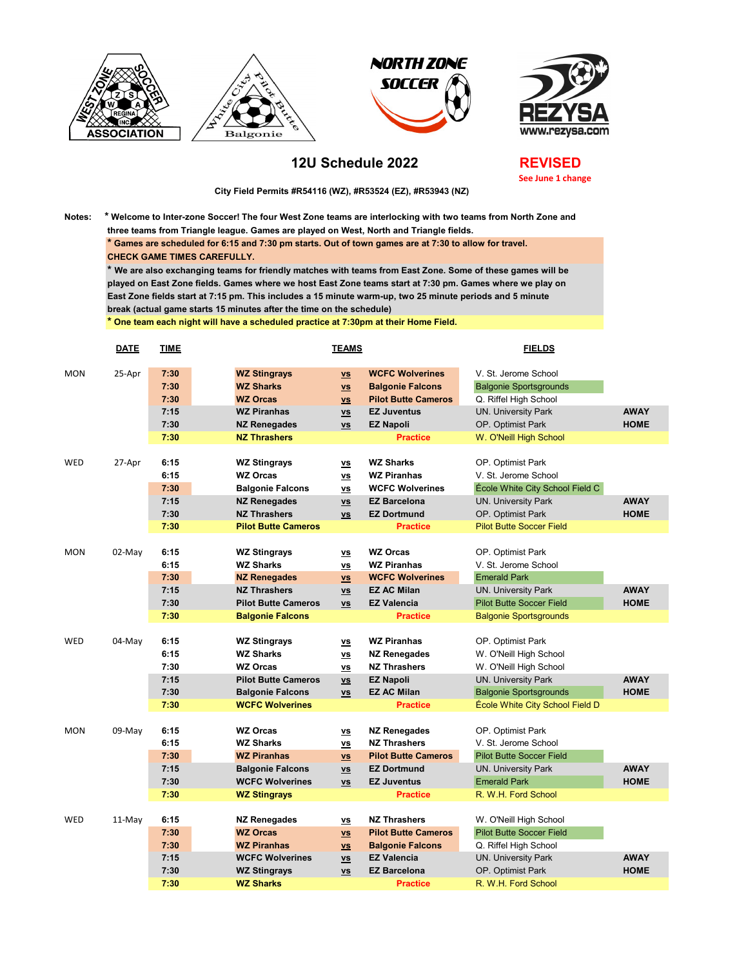







## **12U Schedule 2022**

**REVISED See June 1 change**

 **City Field Permits #R54116 (WZ), #R53524 (EZ), #R53943 (NZ)**

**Notes: \* Welcome to Inter-zone Soccer! The four West Zone teams are interlocking with two teams from North Zone and three teams from Triangle league. Games are played on West, North and Triangle fields. \* Games are scheduled for 6:15 and 7:30 pm starts. Out of town games are at 7:30 to allow for travel. CHECK GAME TIMES CAREFULLY. \* We are also exchanging teams for friendly matches with teams from East Zone. Some of these games will be** 

**played on East Zone fields. Games where we host East Zone teams start at 7:30 pm. Games where we play on East Zone fields start at 7:15 pm. This includes a 15 minute warm-up, two 25 minute periods and 5 minute break (actual game starts 15 minutes after the time on the schedule)**

**\* One team each night will have a scheduled practice at 7:30pm at their Home Field.**

|            | <b>DATE</b> | <b>TIME</b>  | <b>TEAMS</b>                            |                                                                  | <b>FIELDS</b>                                     |                                                       |             |
|------------|-------------|--------------|-----------------------------------------|------------------------------------------------------------------|---------------------------------------------------|-------------------------------------------------------|-------------|
| <b>MON</b> | 25-Apr      | 7:30<br>7:30 | <b>WZ Stingrays</b><br><b>WZ Sharks</b> | $\underline{\mathsf{vs}}$                                        | <b>WCFC Wolverines</b><br><b>Balgonie Falcons</b> | V. St. Jerome School<br><b>Balgonie Sportsgrounds</b> |             |
|            |             | 7:30         | <b>WZ Orcas</b>                         | $\underline{\mathsf{vs}}$<br>$\underline{\mathsf{v}\mathsf{s}}$  | <b>Pilot Butte Cameros</b>                        | Q. Riffel High School                                 |             |
|            |             | 7:15         | <b>WZ Piranhas</b>                      | $\underline{\mathsf{v}\mathsf{s}}$                               | <b>EZ Juventus</b>                                | <b>UN. University Park</b>                            | <b>AWAY</b> |
|            |             | 7:30         | <b>NZ Renegades</b>                     | $\underline{\mathsf{vs}}$                                        | <b>EZ Napoli</b>                                  | OP. Optimist Park                                     | <b>HOME</b> |
|            |             | 7:30         | <b>NZ Thrashers</b>                     |                                                                  | <b>Practice</b>                                   | W. O'Neill High School                                |             |
|            |             |              |                                         |                                                                  |                                                   |                                                       |             |
| WED        | 27-Apr      | 6:15         | <b>WZ Stingrays</b>                     | $\underline{\mathsf{v}}$                                         | <b>WZ Sharks</b>                                  | OP. Optimist Park                                     |             |
|            |             | 6:15         | <b>WZ Orcas</b>                         | $\underline{\mathsf{v}}$                                         | <b>WZ Piranhas</b>                                | V. St. Jerome School                                  |             |
|            |             | 7:30         | <b>Balgonie Falcons</b>                 | $\underline{\mathsf{vs}}$                                        | <b>WCFC Wolverines</b>                            | École White City School Field C                       |             |
|            |             | 7:15         | <b>NZ Renegades</b>                     | $\underline{\mathsf{v}\mathsf{s}}$                               | <b>EZ Barcelona</b>                               | <b>UN. University Park</b>                            | <b>AWAY</b> |
|            |             | 7:30         | <b>NZ Thrashers</b>                     | $\underline{\mathsf{v}}$ s                                       | <b>EZ Dortmund</b>                                | OP. Optimist Park                                     | <b>HOME</b> |
|            |             | 7:30         | <b>Pilot Butte Cameros</b>              |                                                                  | <b>Practice</b>                                   | <b>Pilot Butte Soccer Field</b>                       |             |
|            |             |              |                                         |                                                                  |                                                   |                                                       |             |
| <b>MON</b> | 02-May      | 6:15         | <b>WZ Stingrays</b>                     | $\underline{\mathsf{v}}$                                         | <b>WZ Orcas</b>                                   | OP. Optimist Park                                     |             |
|            |             | 6:15         | <b>WZ Sharks</b>                        | $\underline{\mathsf{v}\mathsf{s}}$                               | <b>WZ Piranhas</b>                                | V. St. Jerome School                                  |             |
|            |             | 7:30         | <b>NZ Renegades</b>                     | $\underline{\mathsf{vs}}$                                        | <b>WCFC Wolverines</b>                            | <b>Emerald Park</b>                                   |             |
|            |             | 7:15         | <b>NZ Thrashers</b>                     | $\underline{\mathsf{v}\mathsf{s}}$                               | <b>EZ AC Milan</b>                                | <b>UN. University Park</b>                            | <b>AWAY</b> |
|            |             | 7:30         | <b>Pilot Butte Cameros</b>              | $\underline{\mathsf{v}}$ s                                       | <b>EZ Valencia</b>                                | <b>Pilot Butte Soccer Field</b>                       | <b>HOME</b> |
|            |             | 7:30         | <b>Balgonie Falcons</b>                 |                                                                  | <b>Practice</b>                                   | <b>Balgonie Sportsgrounds</b>                         |             |
|            |             |              |                                         |                                                                  |                                                   |                                                       |             |
| WED        | 04-May      | 6:15         | <b>WZ Stingrays</b>                     | $\underline{\mathsf{v}}$ s                                       | <b>WZ Piranhas</b>                                | OP. Optimist Park                                     |             |
|            |             | 6:15         | <b>WZ Sharks</b>                        | $\underline{\mathsf{vs}}$                                        | <b>NZ Renegades</b>                               | W. O'Neill High School                                |             |
|            |             | 7:30         | <b>WZ Orcas</b>                         | $\underline{\mathsf{v}\mathsf{s}}$                               | <b>NZ Thrashers</b>                               | W. O'Neill High School                                |             |
|            |             | 7:15         | <b>Pilot Butte Cameros</b>              | $\underline{\mathsf{v}\mathsf{s}}$                               | <b>EZ Napoli</b>                                  | <b>UN. University Park</b>                            | <b>AWAY</b> |
|            |             | 7:30         | <b>Balgonie Falcons</b>                 | $\underline{\mathsf{vs}}$                                        | <b>EZ AC Milan</b>                                | <b>Balgonie Sportsgrounds</b>                         | <b>HOME</b> |
|            |             | 7:30         | <b>WCFC Wolverines</b>                  |                                                                  | <b>Practice</b>                                   | École White City School Field D                       |             |
| <b>MON</b> | $09$ -May   | 6:15         | <b>WZ Orcas</b>                         | <b>VS</b>                                                        | <b>NZ Renegades</b>                               | OP. Optimist Park                                     |             |
|            |             | 6:15         | <b>WZ Sharks</b>                        |                                                                  | <b>NZ Thrashers</b>                               | V. St. Jerome School                                  |             |
|            |             | 7:30         | <b>WZ Piranhas</b>                      | $\underline{\mathsf{v}}$ s<br>$\underline{\mathsf{v}\mathsf{s}}$ | <b>Pilot Butte Cameros</b>                        | <b>Pilot Butte Soccer Field</b>                       |             |
|            |             | 7:15         | <b>Balgonie Falcons</b>                 | $\underline{\mathsf{vs}}$                                        | <b>EZ Dortmund</b>                                | <b>UN. University Park</b>                            | <b>AWAY</b> |
|            |             | 7:30         | <b>WCFC Wolverines</b>                  | $\underline{\mathsf{v}\mathsf{s}}$                               | <b>EZ Juventus</b>                                | <b>Emerald Park</b>                                   | <b>HOME</b> |
|            |             | 7:30         | <b>WZ Stingrays</b>                     |                                                                  | <b>Practice</b>                                   | R. W.H. Ford School                                   |             |
|            |             |              |                                         |                                                                  |                                                   |                                                       |             |
| WED        | 11-May      | 6:15         | <b>NZ Renegades</b>                     | $\underline{\mathsf{vs}}$                                        | <b>NZ Thrashers</b>                               | W. O'Neill High School                                |             |
|            |             | 7:30         | <b>WZ Orcas</b>                         | $\underline{\mathsf{v}\mathsf{s}}$                               | <b>Pilot Butte Cameros</b>                        | <b>Pilot Butte Soccer Field</b>                       |             |
|            |             | 7:30         | <b>WZ Piranhas</b>                      | $\underline{\mathsf{vs}}$                                        | <b>Balgonie Falcons</b>                           | Q. Riffel High School                                 |             |
|            |             | 7:15         | <b>WCFC Wolverines</b>                  | $\underline{\mathsf{v}\mathsf{s}}$                               | <b>EZ Valencia</b>                                | <b>UN. University Park</b>                            | <b>AWAY</b> |
|            |             | 7:30         | <b>WZ Stingrays</b>                     | $\underline{\mathsf{v}}$ s                                       | <b>EZ Barcelona</b>                               | OP. Optimist Park                                     | <b>HOME</b> |
|            |             | 7:30         | <b>WZ Sharks</b>                        |                                                                  | <b>Practice</b>                                   | R. W.H. Ford School                                   |             |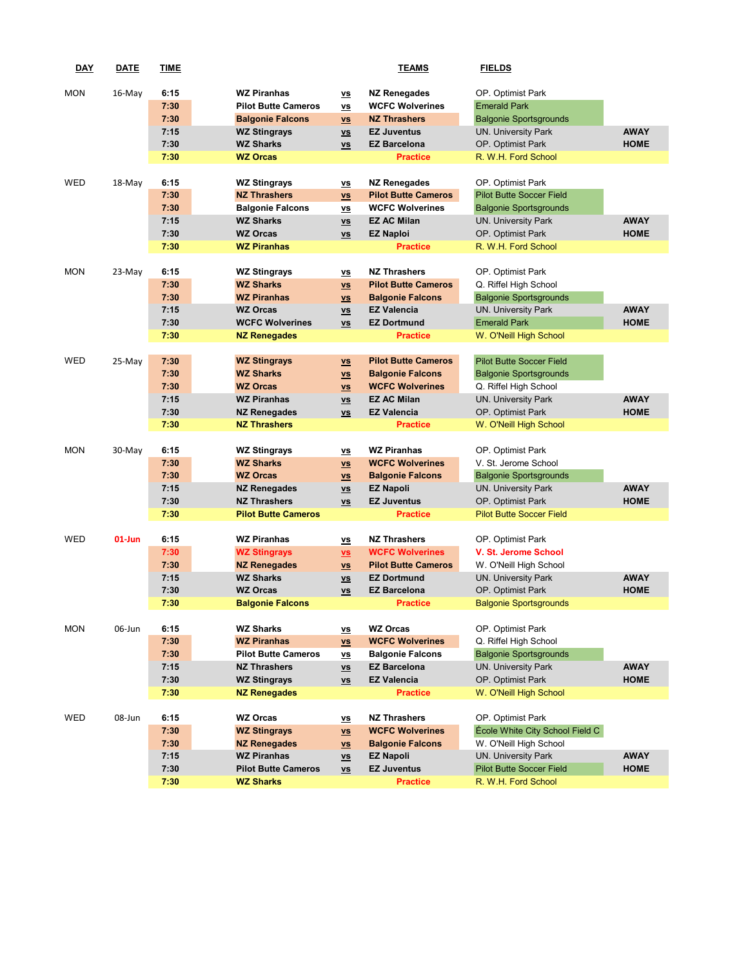| <b>DAY</b> | <b>DATE</b> | <b>TIME</b>  |                                            |                                                                 | <b>TEAMS</b>                                  | <b>FIELDS</b>                                             |             |
|------------|-------------|--------------|--------------------------------------------|-----------------------------------------------------------------|-----------------------------------------------|-----------------------------------------------------------|-------------|
|            |             |              |                                            |                                                                 |                                               |                                                           |             |
| <b>MON</b> | $16$ -May   | 6:15         | <b>WZ Piranhas</b>                         | $\underline{\mathsf{v}}$                                        | <b>NZ Renegades</b>                           | OP. Optimist Park                                         |             |
|            |             | 7:30         | <b>Pilot Butte Cameros</b>                 | $\underline{\mathsf{v}\mathsf{s}}$                              | <b>WCFC Wolverines</b>                        | <b>Emerald Park</b>                                       |             |
|            |             | 7:30         | <b>Balgonie Falcons</b>                    | $\underline{\mathsf{vs}}$                                       | <b>NZ Thrashers</b>                           | <b>Balgonie Sportsgrounds</b>                             |             |
|            |             | 7:15         | <b>WZ Stingrays</b>                        | $\underline{\mathsf{v}\mathsf{s}}$                              | <b>EZ Juventus</b>                            | <b>UN. University Park</b>                                | <b>AWAY</b> |
|            |             | 7:30         | <b>WZ Sharks</b>                           | $\underline{\mathsf{v}\mathsf{s}}$                              | <b>EZ Barcelona</b>                           | OP. Optimist Park                                         | <b>HOME</b> |
|            |             | 7:30         | <b>WZ Orcas</b>                            |                                                                 | <b>Practice</b>                               | R. W.H. Ford School                                       |             |
| WED        |             | 6:15         |                                            |                                                                 | <b>NZ Renegades</b>                           | OP. Optimist Park                                         |             |
|            | 18-May      | 7:30         | <b>WZ Stingrays</b><br><b>NZ Thrashers</b> | $\underline{\mathsf{v}}$                                        | <b>Pilot Butte Cameros</b>                    | <b>Pilot Butte Soccer Field</b>                           |             |
|            |             | 7:30         | <b>Balgonie Falcons</b>                    | $\underline{\mathsf{vs}}$                                       | <b>WCFC Wolverines</b>                        | <b>Balgonie Sportsgrounds</b>                             |             |
|            |             | 7:15         | <b>WZ Sharks</b>                           | $\underline{\mathsf{vs}}$<br>$\underline{\mathsf{v}\mathsf{s}}$ | <b>EZ AC Milan</b>                            | <b>UN. University Park</b>                                | <b>AWAY</b> |
|            |             | 7:30         | <b>WZ Orcas</b>                            | $\underline{\mathsf{vs}}$                                       | <b>EZ Naploi</b>                              | OP. Optimist Park                                         | <b>HOME</b> |
|            |             | 7:30         | <b>WZ Piranhas</b>                         |                                                                 | <b>Practice</b>                               | R. W.H. Ford School                                       |             |
|            |             |              |                                            |                                                                 |                                               |                                                           |             |
| <b>MON</b> | 23-May      | 6:15         | <b>WZ Stingrays</b>                        | $\underline{\mathsf{vs}}$                                       | <b>NZ Thrashers</b>                           | OP. Optimist Park                                         |             |
|            |             | 7:30         | <b>WZ Sharks</b>                           | $\underline{\mathsf{vs}}$                                       | <b>Pilot Butte Cameros</b>                    | Q. Riffel High School                                     |             |
|            |             | 7:30         | <b>WZ Piranhas</b>                         | $\underline{\mathsf{v}\mathsf{s}}$                              | <b>Balgonie Falcons</b>                       | <b>Balgonie Sportsgrounds</b>                             |             |
|            |             | 7:15         | <b>WZ Orcas</b>                            | $\underline{\mathsf{vs}}$                                       | <b>EZ Valencia</b>                            | <b>UN. University Park</b>                                | <b>AWAY</b> |
|            |             | 7:30         | <b>WCFC Wolverines</b>                     | $\underline{\mathsf{v}}$ s                                      | <b>EZ Dortmund</b>                            | <b>Emerald Park</b>                                       | <b>HOME</b> |
|            |             | 7:30         | <b>NZ Renegades</b>                        |                                                                 | <b>Practice</b>                               | W. O'Neill High School                                    |             |
|            |             |              |                                            |                                                                 |                                               |                                                           |             |
| WED        | 25-May      | 7:30         | <b>WZ Stingrays</b>                        | $\underline{\mathsf{vs}}$                                       | <b>Pilot Butte Cameros</b>                    | <b>Pilot Butte Soccer Field</b>                           |             |
|            |             | 7:30         | <b>WZ Sharks</b>                           | $\underline{\mathsf{vs}}$                                       | <b>Balgonie Falcons</b>                       | <b>Balgonie Sportsgrounds</b>                             |             |
|            |             | 7:30         | <b>WZ Orcas</b>                            | $\underline{\mathsf{vs}}$                                       | <b>WCFC Wolverines</b>                        | Q. Riffel High School                                     |             |
|            |             | 7:15         | <b>WZ Piranhas</b>                         | $\underline{\mathsf{v}\mathsf{s}}$                              | <b>EZ AC Milan</b>                            | <b>UN. University Park</b>                                | <b>AWAY</b> |
|            |             | 7:30         | <b>NZ Renegades</b>                        | $\underline{\mathsf{v}\mathsf{s}}$                              | <b>EZ Valencia</b>                            | OP. Optimist Park                                         | <b>HOME</b> |
|            |             | 7:30         | <b>NZ Thrashers</b>                        |                                                                 | <b>Practice</b>                               | W. O'Neill High School                                    |             |
|            |             |              |                                            |                                                                 |                                               |                                                           |             |
| <b>MON</b> | $30-Mav$    | 6:15         | <b>WZ Stingrays</b>                        | <b>VS</b>                                                       | <b>WZ Piranhas</b>                            | OP. Optimist Park                                         |             |
|            |             | 7:30         | <b>WZ Sharks</b>                           | $\underline{\mathsf{v}\mathsf{s}}$                              | <b>WCFC Wolverines</b>                        | V. St. Jerome School                                      |             |
|            |             | 7:30<br>7:15 | <b>WZ Orcas</b>                            | $\underline{\mathsf{vs}}$                                       | <b>Balgonie Falcons</b>                       | <b>Balgonie Sportsgrounds</b>                             | <b>AWAY</b> |
|            |             | 7:30         | <b>NZ Renegades</b><br><b>NZ Thrashers</b> | $\underline{\mathsf{v}\mathsf{s}}$                              | <b>EZ Napoli</b><br><b>EZ Juventus</b>        | <b>UN. University Park</b><br>OP. Optimist Park           | <b>HOME</b> |
|            |             | 7:30         | <b>Pilot Butte Cameros</b>                 | $\underline{\mathsf{v}\mathsf{s}}$                              | <b>Practice</b>                               | <b>Pilot Butte Soccer Field</b>                           |             |
|            |             |              |                                            |                                                                 |                                               |                                                           |             |
| WED        | $01$ -Jun   | 6:15         | <b>WZ Piranhas</b>                         | $\underline{\mathsf{vs}}$                                       | <b>NZ Thrashers</b>                           | OP. Optimist Park                                         |             |
|            |             | 7:30         | <b>WZ Stingrays</b>                        | $\underline{\mathsf{vs}}$                                       | <b>WCFC Wolverines</b>                        | V. St. Jerome School                                      |             |
|            |             | 7:30         | <b>NZ Renegades</b>                        | $\underline{\mathsf{v}\mathsf{s}}$                              | <b>Pilot Butte Cameros</b>                    | W. O'Neill High School                                    |             |
|            |             | 7:15         | <b>WZ Sharks</b>                           | $\underline{\mathsf{v}\mathsf{s}}$                              | <b>EZ Dortmund</b>                            | <b>UN. University Park</b>                                | <b>AWAY</b> |
|            |             | 7:30         | <b>WZ Orcas</b>                            | <b>VS</b>                                                       | <b>EZ Barcelona</b>                           | OP. Optimist Park                                         | <b>HOME</b> |
|            |             | 7:30         | <b>Balgonie Falcons</b>                    |                                                                 | <b>Practice</b>                               | <b>Balgonie Sportsgrounds</b>                             |             |
|            |             |              |                                            |                                                                 |                                               |                                                           |             |
| <b>MON</b> | 06-Jun      | 6:15         | <b>WZ Sharks</b>                           | $\underline{\mathsf{vs}}$                                       | <b>WZ Orcas</b>                               | OP. Optimist Park                                         |             |
|            |             | 7:30         | <b>WZ Piranhas</b>                         | $\underline{\mathbf{v}}$                                        | <b>WCFC Wolverines</b>                        | Q. Riffel High School                                     |             |
|            |             | 7:30         | <b>Pilot Butte Cameros</b>                 | $\underline{\mathsf{v}}$                                        | <b>Balgonie Falcons</b>                       | <b>Balgonie Sportsgrounds</b>                             |             |
|            |             | 7:15         | <b>NZ Thrashers</b>                        | $\underline{\mathsf{v}\mathsf{s}}$                              | <b>EZ Barcelona</b>                           | <b>UN. University Park</b>                                | <b>AWAY</b> |
|            |             | 7:30         | <b>WZ Stingrays</b>                        | $\underline{\mathsf{v}\mathsf{s}}$                              | <b>EZ Valencia</b>                            | OP. Optimist Park                                         | <b>HOME</b> |
|            |             | 7:30         | <b>NZ Renegades</b>                        |                                                                 | <b>Practice</b>                               | W. O'Neill High School                                    |             |
|            |             |              |                                            |                                                                 |                                               |                                                           |             |
| WED        | 08-Jun      | 6:15         | <b>WZ Orcas</b>                            | $\underline{\mathsf{vs}}$                                       | <b>NZ Thrashers</b><br><b>WCFC Wolverines</b> | OP. Optimist Park                                         |             |
|            |             | 7:30<br>7:30 | <b>WZ Stingrays</b><br><b>NZ Renegades</b> | $\underline{\mathsf{v}\mathsf{s}}$                              | <b>Balgonie Falcons</b>                       | École White City School Field C<br>W. O'Neill High School |             |
|            |             | 7:15         | <b>WZ Piranhas</b>                         | $\underline{\mathsf{vs}}$<br>$\underline{\mathsf{v}\mathsf{s}}$ | <b>EZ Napoli</b>                              | <b>UN. University Park</b>                                | <b>AWAY</b> |
|            |             | 7:30         | <b>Pilot Butte Cameros</b>                 | $\underline{\mathsf{v}\mathsf{s}}$                              | <b>EZ Juventus</b>                            | <b>Pilot Butte Soccer Field</b>                           | <b>HOME</b> |
|            |             | 7:30         | <b>WZ Sharks</b>                           |                                                                 | <b>Practice</b>                               | R. W.H. Ford School                                       |             |
|            |             |              |                                            |                                                                 |                                               |                                                           |             |